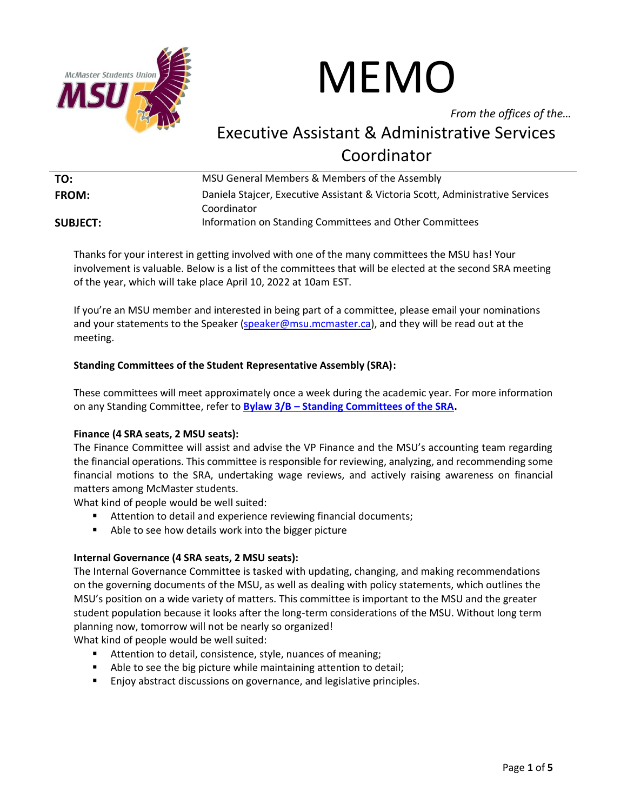

# MEMO

*From the offices of the…*

# Executive Assistant & Administrative Services Coordinator

| TO:             | MSU General Members & Members of the Assembly                                                 |
|-----------------|-----------------------------------------------------------------------------------------------|
| <b>FROM:</b>    | Daniela Stajcer, Executive Assistant & Victoria Scott, Administrative Services<br>Coordinator |
| <b>SUBJECT:</b> | Information on Standing Committees and Other Committees                                       |

Thanks for your interest in getting involved with one of the many committees the MSU has! Your involvement is valuable. Below is a list of the committees that will be elected at the second SRA meeting of the year, which will take place April 10, 2022 at 10am EST.

If you're an MSU member and interested in being part of a committee, please email your nominations and your statements to the Speaker [\(speaker@msu.mcmaster.ca\)](mailto:speaker@msu.mcmaster.ca), and they will be read out at the meeting.

# **Standing Committees of the Student Representative Assembly (SRA):**

These committees will meet approximately once a week during the academic year. For more information on any Standing Committee, refer to **Bylaw 3/B – [Standing Committees of the SRA.](https://msumcmaster.ca/app/uploads/2021/08/Bylaw-3B-Standing-Committees-of-the-SRA.pdf)**

# **Finance (4 SRA seats, 2 MSU seats):**

The Finance Committee will assist and advise the VP Finance and the MSU's accounting team regarding the financial operations. This committee is responsible for reviewing, analyzing, and recommending some financial motions to the SRA, undertaking wage reviews, and actively raising awareness on financial matters among McMaster students.

What kind of people would be well suited:

- Attention to detail and experience reviewing financial documents;
- Able to see how details work into the bigger picture

# **Internal Governance (4 SRA seats, 2 MSU seats):**

The Internal Governance Committee is tasked with updating, changing, and making recommendations on the governing documents of the MSU, as well as dealing with policy statements, which outlines the MSU's position on a wide variety of matters. This committee is important to the MSU and the greater student population because it looks after the long-term considerations of the MSU. Without long term planning now, tomorrow will not be nearly so organized!

What kind of people would be well suited:

- Attention to detail, consistence, style, nuances of meaning;
- Able to see the big picture while maintaining attention to detail;
- Enjoy abstract discussions on governance, and legislative principles.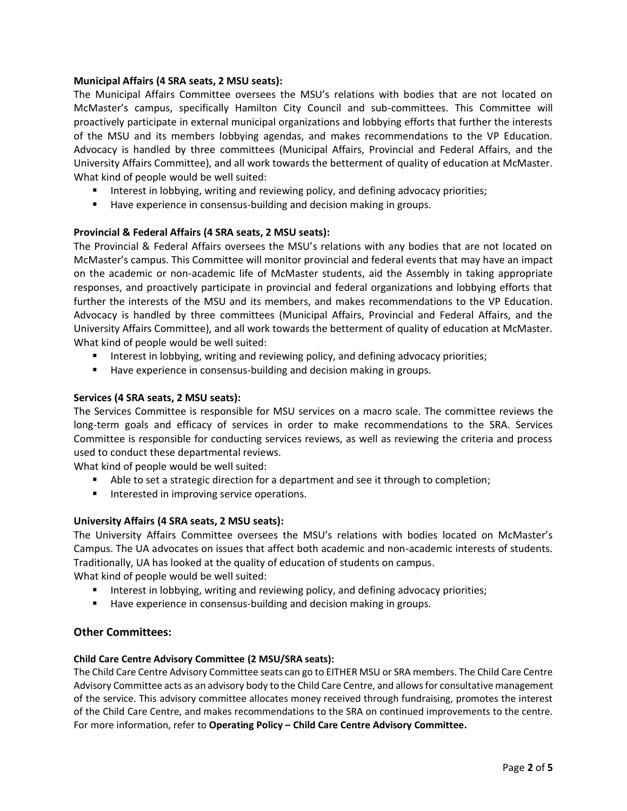#### **Municipal Affairs (4 SRA seats, 2 MSU seats):**

The Municipal Affairs Committee oversees the MSU's relations with bodies that are not located on McMaster's campus, specifically Hamilton City Council and sub-committees. This Committee will proactively participate in external municipal organizations and lobbying efforts that further the interests of the MSU and its members lobbying agendas, and makes recommendations to the VP Education. Advocacy is handled by three committees (Municipal Affairs, Provincial and Federal Affairs, and the University Affairs Committee), and all work towards the betterment of quality of education at McMaster. What kind of people would be well suited:

- **■** Interest in lobbying, writing and reviewing policy, and defining advocacy priorities;
- Have experience in consensus-building and decision making in groups.

#### **Provincial & Federal Affairs (4 SRA seats, 2 MSU seats):**

The Provincial & Federal Affairs oversees the MSU's relations with any bodies that are not located on McMaster's campus. This Committee will monitor provincial and federal events that may have an impact on the academic or non-academic life of McMaster students, aid the Assembly in taking appropriate responses, and proactively participate in provincial and federal organizations and lobbying efforts that further the interests of the MSU and its members, and makes recommendations to the VP Education. Advocacy is handled by three committees (Municipal Affairs, Provincial and Federal Affairs, and the University Affairs Committee), and all work towards the betterment of quality of education at McMaster. What kind of people would be well suited:

- **•** Interest in lobbying, writing and reviewing policy, and defining advocacy priorities;
- Have experience in consensus-building and decision making in groups.

# **Services (4 SRA seats, 2 MSU seats):**

The Services Committee is responsible for MSU services on a macro scale. The committee reviews the long-term goals and efficacy of services in order to make recommendations to the SRA. Services Committee is responsible for conducting services reviews, as well as reviewing the criteria and process used to conduct these departmental reviews.

What kind of people would be well suited:

- Able to set a strategic direction for a department and see it through to completion;
- Interested in improving service operations.

# **University Affairs (4 SRA seats, 2 MSU seats):**

The University Affairs Committee oversees the MSU's relations with bodies located on McMaster's Campus. The UA advocates on issues that affect both academic and non-academic interests of students. Traditionally, UA has looked at the quality of education of students on campus. What kind of people would be well suited:

- **■** Interest in lobbying, writing and reviewing policy, and defining advocacy priorities;
- Have experience in consensus-building and decision making in groups.

# **Other Committees:**

#### **Child Care Centre Advisory Committee (2 MSU/SRA seats):**

The Child Care Centre Advisory Committee seats can go to EITHER MSU or SRA members. The Child Care Centre Advisory Committee acts as an advisory body to the Child Care Centre, and allows for consultative management of the service. This advisory committee allocates money received through fundraising, promotes the interest of the Child Care Centre, and makes recommendations to the SRA on continued improvements to the centre. For more information, refer to **Operating Policy – Child Care Centre Advisory Committee.**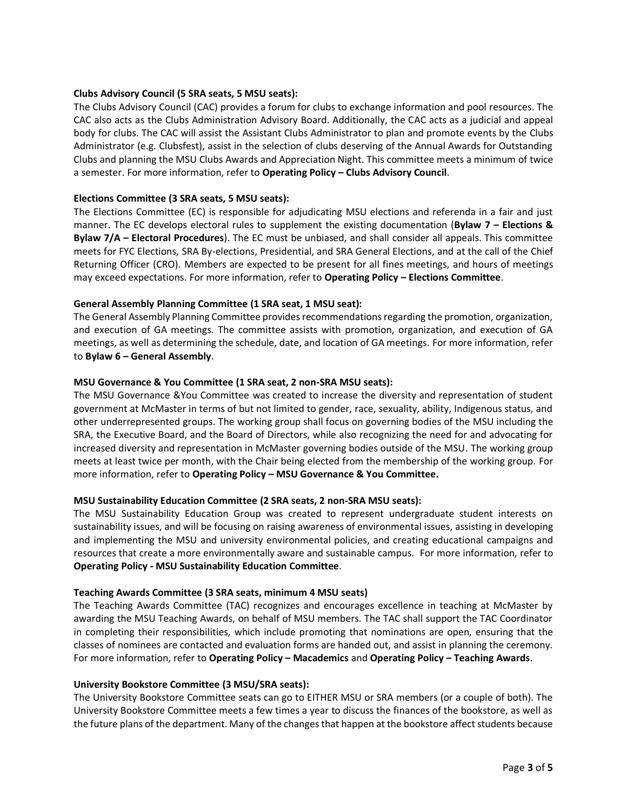#### **Clubs Advisory Council (5 SRA seats, 5 MSU seats):**

The Clubs Advisory Council (CAC) provides a forum for clubs to exchange information and pool resources. The CAC also acts as the Clubs Administration Advisory Board. Additionally, the CAC acts as a judicial and appeal body for clubs. The CAC will assist the Assistant Clubs Administrator to plan and promote events by the Clubs Administrator (e.g. Clubsfest), assist in the selection of clubs deserving of the Annual Awards for Outstanding Clubs and planning the MSU Clubs Awards and Appreciation Night. This committee meets a minimum of twice a semester. For more information, refer to **Operating Policy – Clubs Advisory Council**.

#### **Elections Committee (3 SRA seats, 5 MSU seats):**

The Elections Committee (EC) is responsible for adjudicating MSU elections and referenda in a fair and just manner. The EC develops electoral rules to supplement the existing documentation (**Bylaw 7 – Elections & Bylaw 7/A – Electoral Procedures**). The EC must be unbiased, and shall consider all appeals. This committee meets for FYC Elections, SRA By-elections, Presidential, and SRA General Elections, and at the call of the Chief Returning Officer (CRO). Members are expected to be present for all fines meetings, and hours of meetings may exceed expectations. For more information, refer to **Operating Policy – Elections Committee**.

#### **General Assembly Planning Committee (1 SRA seat, 1 MSU seat):**

The General Assembly Planning Committee provides recommendations regarding the promotion, organization, and execution of GA meetings. The committee assists with promotion, organization, and execution of GA meetings, as well as determining the schedule, date, and location of GA meetings. For more information, refer to **Bylaw 6 – General Assembly**.

#### **MSU Governance & You Committee (1 SRA seat, 2 non-SRA MSU seats):**

The MSU Governance &You Committee was created to increase the diversity and representation of student government at McMaster in terms of but not limited to gender, race, sexuality, ability, Indigenous status, and other underrepresented groups. The working group shall focus on governing bodies of the MSU including the SRA, the Executive Board, and the Board of Directors, while also recognizing the need for and advocating for increased diversity and representation in McMaster governing bodies outside of the MSU. The working group meets at least twice per month, with the Chair being elected from the membership of the working group. For more information, refer to **Operating Policy – MSU Governance & You Committee.** 

#### **MSU Sustainability Education Committee (2 SRA seats, 2 non-SRA MSU seats):**

The MSU Sustainability Education Group was created to represent undergraduate student interests on sustainability issues, and will be focusing on raising awareness of environmental issues, assisting in developing and implementing the MSU and university environmental policies, and creating educational campaigns and resources that create a more environmentally aware and sustainable campus. For more information, refer to **Operating Policy - MSU Sustainability Education Committee**.

#### **Teaching Awards Committee (3 SRA seats, minimum 4 MSU seats)**

The Teaching Awards Committee (TAC) recognizes and encourages excellence in teaching at McMaster by awarding the MSU Teaching Awards, on behalf of MSU members. The TAC shall support the TAC Coordinator in completing their responsibilities, which include promoting that nominations are open, ensuring that the classes of nominees are contacted and evaluation forms are handed out, and assist in planning the ceremony. For more information, refer to **Operating Policy – Macademics** and **Operating Policy – Teaching Awards**.

#### **University Bookstore Committee (3 MSU/SRA seats):**

The University Bookstore Committee seats can go to EITHER MSU or SRA members (or a couple of both). The University Bookstore Committee meets a few times a year to discuss the finances of the bookstore, as well as the future plans of the department. Many of the changes that happen at the bookstore affect students because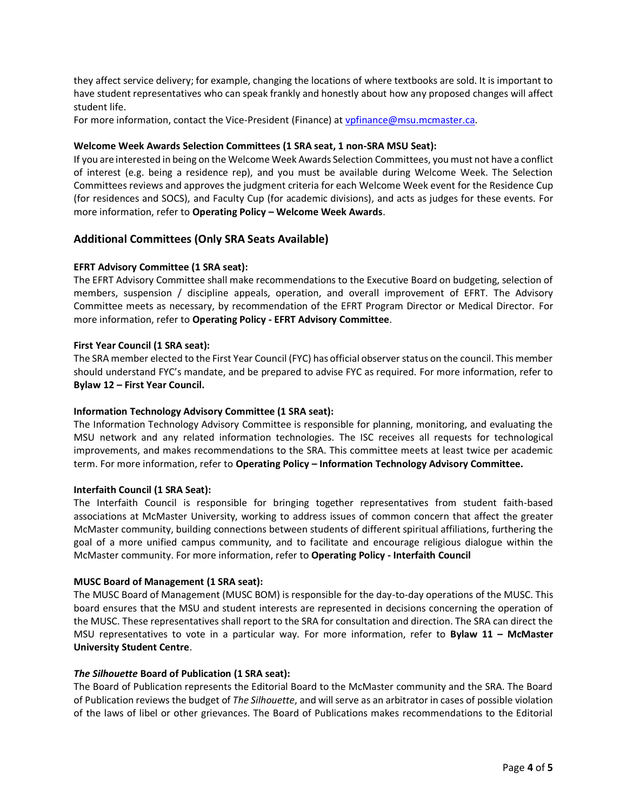they affect service delivery; for example, changing the locations of where textbooks are sold. It is important to have student representatives who can speak frankly and honestly about how any proposed changes will affect student life.

For more information, contact the Vice-President (Finance) at [vpfinance@msu.mcmaster.ca.](mailto:vpfinance@msu.mcmaster.ca)

#### **Welcome Week Awards Selection Committees (1 SRA seat, 1 non-SRA MSU Seat):**

If you are interested in being on the Welcome Week Awards Selection Committees, you must not have a conflict of interest (e.g. being a residence rep), and you must be available during Welcome Week. The Selection Committees reviews and approves the judgment criteria for each Welcome Week event for the Residence Cup (for residences and SOCS), and Faculty Cup (for academic divisions), and acts as judges for these events. For more information, refer to **Operating Policy – Welcome Week Awards**.

#### **Additional Committees (Only SRA Seats Available)**

#### **EFRT Advisory Committee (1 SRA seat):**

The EFRT Advisory Committee shall make recommendations to the Executive Board on budgeting, selection of members, suspension / discipline appeals, operation, and overall improvement of EFRT. The Advisory Committee meets as necessary, by recommendation of the EFRT Program Director or Medical Director. For more information, refer to **Operating Policy - EFRT Advisory Committee**.

#### **First Year Council (1 SRA seat):**

The SRA member elected to the First Year Council (FYC) has official observer status on the council. This member should understand FYC's mandate, and be prepared to advise FYC as required. For more information, refer to **Bylaw 12 – First Year Council.**

#### **Information Technology Advisory Committee (1 SRA seat):**

The Information Technology Advisory Committee is responsible for planning, monitoring, and evaluating the MSU network and any related information technologies. The ISC receives all requests for technological improvements, and makes recommendations to the SRA. This committee meets at least twice per academic term. For more information, refer to **Operating Policy – Information Technology Advisory Committee.**

#### **Interfaith Council (1 SRA Seat):**

The Interfaith Council is responsible for bringing together representatives from student faith-based associations at McMaster University, working to address issues of common concern that affect the greater McMaster community, building connections between students of different spiritual affiliations, furthering the goal of a more unified campus community, and to facilitate and encourage religious dialogue within the McMaster community. For more information, refer to **Operating Policy - Interfaith Council**

#### **MUSC Board of Management (1 SRA seat):**

The MUSC Board of Management (MUSC BOM) is responsible for the day-to-day operations of the MUSC. This board ensures that the MSU and student interests are represented in decisions concerning the operation of the MUSC. These representatives shall report to the SRA for consultation and direction. The SRA can direct the MSU representatives to vote in a particular way. For more information, refer to **Bylaw 11 – McMaster University Student Centre**.

#### *The Silhouette* **Board of Publication (1 SRA seat):**

The Board of Publication represents the Editorial Board to the McMaster community and the SRA. The Board of Publication reviews the budget of *The Silhouette*, and will serve as an arbitrator in cases of possible violation of the laws of libel or other grievances. The Board of Publications makes recommendations to the Editorial